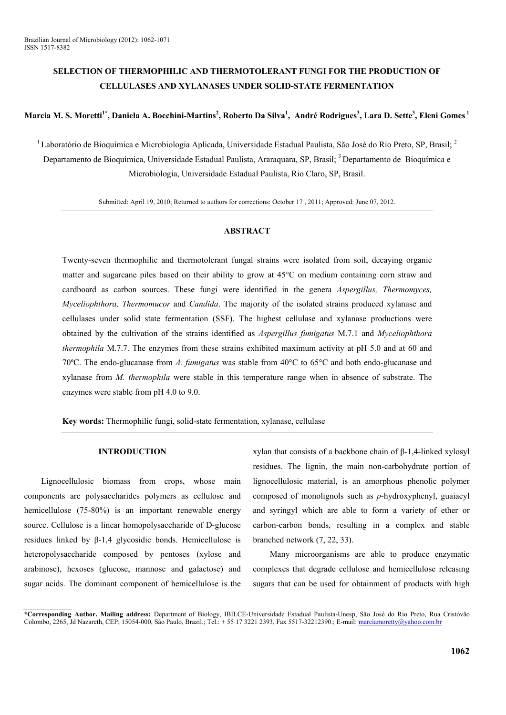# **SELECTION OF THERMOPHILIC AND THERMOTOLERANT FUNGI FOR THE PRODUCTION OF CELLULASES AND XYLANASES UNDER SOLID-STATE FERMENTATION**

## Marcia M. S. Moretti<sup>1\*</sup>, Daniela A. Bocchini-Martins<sup>2</sup>, Roberto Da Silva<sup>1</sup>, André Rodrigues<sup>3</sup>, Lara D. Sette<sup>3</sup>, Eleni Gomes <sup>1</sup>

<sup>1</sup> Laboratório de Bioquímica e Microbiologia Aplicada, Universidade Estadual Paulista, São José do Rio Preto, SP, Brasil; <sup>2</sup> Departamento de Bioquímica, Universidade Estadual Paulista, Araraquara, SP, Brasil;<sup>3</sup> Departamento de Bioquímica e Microbiologia, Universidade Estadual Paulista, Rio Claro, SP, Brasil.

Submitted: April 19, 2010; Returned to authors for corrections: October 17 , 2011; Approved: June 07, 2012.

### **ABSTRACT**

Twenty-seven thermophilic and thermotolerant fungal strains were isolated from soil, decaying organic matter and sugarcane piles based on their ability to grow at 45°C on medium containing corn straw and cardboard as carbon sources. These fungi were identified in the genera *Aspergillus, Thermomyces, Myceliophthora, Thermomucor* and *Candida*. The majority of the isolated strains produced xylanase and cellulases under solid state fermentation (SSF). The highest cellulase and xylanase productions were obtained by the cultivation of the strains identified as *Aspergillus fumigatus* M.7.1 and *Myceliophthora thermophila* M.7.7. The enzymes from these strains exhibited maximum activity at pH 5.0 and at 60 and 70ºC. The endo-glucanase from *A. fumigatus* was stable from 40°C to 65°C and both endo-glucanase and xylanase from *M. thermophila* were stable in this temperature range when in absence of substrate. The enzymes were stable from pH 4.0 to 9.0.

**Key words:** Thermophilic fungi, solid-state fermentation, xylanase, cellulase

### **INTRODUCTION**

Lignocellulosic biomass from crops, whose main components are polysaccharides polymers as cellulose and hemicellulose (75-80%) is an important renewable energy source. Cellulose is a linear homopolysaccharide of D-glucose residues linked by β-1,4 glycosidic bonds. Hemicellulose is heteropolysaccharide composed by pentoses (xylose and arabinose), hexoses (glucose, mannose and galactose) and sugar acids. The dominant component of hemicellulose is the

xylan that consists of a backbone chain of β-1,4-linked xylosyl residues. The lignin, the main non-carbohydrate portion of lignocellulosic material, is an amorphous phenolic polymer composed of monolignols such as *p*-hydroxyphenyl, guaiacyl and syringyl which are able to form a variety of ether or carbon-carbon bonds, resulting in a complex and stable branched network (7, 22, 33).

Many microorganisms are able to produce enzymatic complexes that degrade cellulose and hemicellulose releasing sugars that can be used for obtainment of products with high

**<sup>\*</sup>Corresponding Author. Mailing address:** Department of Biology, IBILCE-Universidade Estadual Paulista-Unesp, São José do Rio Preto, Rua Cristóvão Colombo, 2265, Jd Nazareth, CEP; 15054-000, São Paulo, Brazil.; Tel.: + 55 17 3221 2393, Fax 5517-32212390.; E-mail: marciamoretty@yahoo.com.br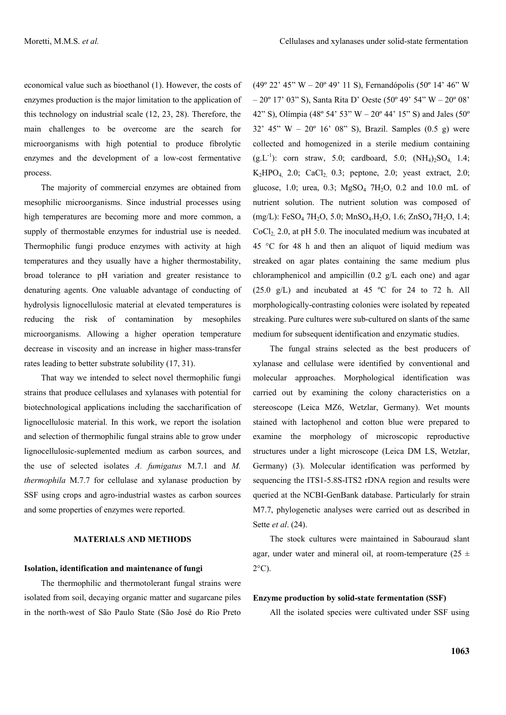economical value such as bioethanol (1). However, the costs of enzymes production is the major limitation to the application of this technology on industrial scale (12, 23, 28). Therefore, the main challenges to be overcome are the search for microorganisms with high potential to produce fibrolytic enzymes and the development of a low-cost fermentative process.

The majority of commercial enzymes are obtained from mesophilic microorganisms. Since industrial processes using high temperatures are becoming more and more common, a supply of thermostable enzymes for industrial use is needed. Thermophilic fungi produce enzymes with activity at high temperatures and they usually have a higher thermostability, broad tolerance to pH variation and greater resistance to denaturing agents. One valuable advantage of conducting of hydrolysis lignocellulosic material at elevated temperatures is reducing the risk of contamination by mesophiles microorganisms. Allowing a higher operation temperature decrease in viscosity and an increase in higher mass-transfer rates leading to better substrate solubility (17, 31).

That way we intended to select novel thermophilic fungi strains that produce cellulases and xylanases with potential for biotechnological applications including the saccharification of lignocellulosic material. In this work, we report the isolation and selection of thermophilic fungal strains able to grow under lignocellulosic-suplemented medium as carbon sources, and the use of selected isolates *A. fumigatus* M.7.1 and *M. thermophila* M.7.7 for cellulase and xylanase production by SSF using crops and agro-industrial wastes as carbon sources and some properties of enzymes were reported.

## **MATERIALS AND METHODS**

#### **Isolation, identification and maintenance of fungi**

The thermophilic and thermotolerant fungal strains were isolated from soil, decaying organic matter and sugarcane piles in the north-west of São Paulo State (São José do Rio Preto

(49º 22' 45" W – 20º 49' 11 S), Fernandópolis (50º 14' 46" W – 20º 17' 03" S), Santa Rita D' Oeste (50º 49' 54" W – 20º 08' 42" S), Olímpia (48° 54' 53" W – 20° 44' 15" S) and Jales (50° 32' 45" W – 20° 16' 08" S), Brazil. Samples  $(0.5 \text{ g})$  were collected and homogenized in a sterile medium containing  $(g<sub>L</sub>-1)$ : corn straw, 5.0; cardboard, 5.0;  $(NH<sub>4</sub>)<sub>2</sub>SO<sub>4</sub>$  1.4;  $K_2HPO_4$  2.0; CaCl<sub>2</sub> 0.3; peptone, 2.0; yeast extract, 2.0; glucose, 1.0; urea, 0.3;  $MgSO_4$  7H<sub>2</sub>O, 0.2 and 10.0 mL of nutrient solution. The nutrient solution was composed of (mg/L): FeSO<sub>4</sub> 7H<sub>2</sub>O, 5.0; MnSO<sub>4</sub>.H<sub>2</sub>O, 1.6; ZnSO<sub>4</sub> 7H<sub>2</sub>O, 1.4;  $CoCl<sub>2</sub>$  2.0, at pH 5.0. The inoculated medium was incubated at 45 °C for 48 h and then an aliquot of liquid medium was streaked on agar plates containing the same medium plus chloramphenicol and ampicillin (0.2 g/L each one) and agar  $(25.0 \text{ g/L})$  and incubated at 45 °C for 24 to 72 h. All morphologically-contrasting colonies were isolated by repeated streaking. Pure cultures were sub-cultured on slants of the same medium for subsequent identification and enzymatic studies.

The fungal strains selected as the best producers of xylanase and cellulase were identified by conventional and molecular approaches. Morphological identification was carried out by examining the colony characteristics on a stereoscope (Leica MZ6, Wetzlar, Germany). Wet mounts stained with lactophenol and cotton blue were prepared to examine the morphology of microscopic reproductive structures under a light microscope (Leica DM LS, Wetzlar, Germany) (3). Molecular identification was performed by sequencing the ITS1-5.8S-ITS2 rDNA region and results were queried at the NCBI-GenBank database. Particularly for strain M7.7, phylogenetic analyses were carried out as described in Sette *et al*. (24).

The stock cultures were maintained in Sabouraud slant agar, under water and mineral oil, at room-temperature  $(25 \pm 1)$  $2^{\circ}$ C).

#### **Enzyme production by solid-state fermentation (SSF)**

All the isolated species were cultivated under SSF using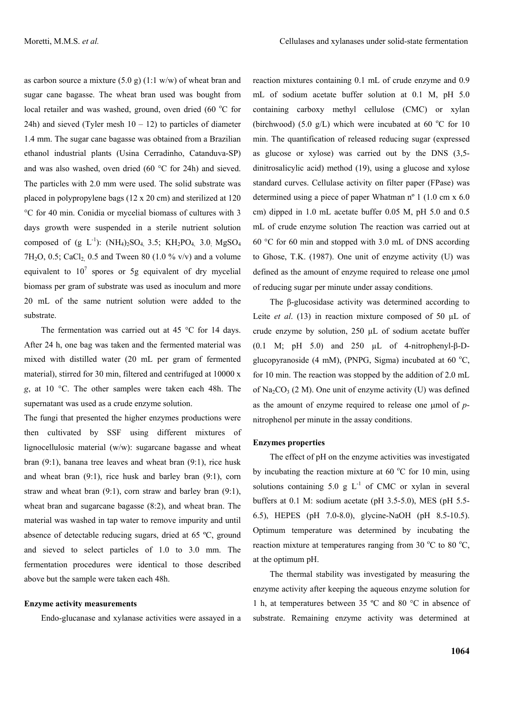as carbon source a mixture  $(5.0 \text{ g})$   $(1.1 \text{ w/w})$  of wheat bran and sugar cane bagasse. The wheat bran used was bought from local retailer and was washed, ground, oven dried (60 °C for 24h) and sieved (Tyler mesh  $10 - 12$ ) to particles of diameter 1.4 mm. The sugar cane bagasse was obtained from a Brazilian ethanol industrial plants (Usina Cerradinho, Catanduva-SP) and was also washed, oven dried  $(60 °C)$  for 24h) and sieved. The particles with 2.0 mm were used. The solid substrate was placed in polypropylene bags (12 x 20 cm) and sterilized at 120 °C for 40 min. Conidia or mycelial biomass of cultures with 3 days growth were suspended in a sterile nutrient solution composed of  $(g L^{-1})$ :  $(NH_4)_2SO_4$  3.5;  $KH_2PO_4$  3.0;  $MgSO_4$ 7H<sub>2</sub>O, 0.5; CaCl<sub>2</sub>, 0.5 and Tween 80 (1.0 % v/v) and a volume equivalent to  $10^7$  spores or 5g equivalent of dry mycelial biomass per gram of substrate was used as inoculum and more 20 mL of the same nutrient solution were added to the substrate.

The fermentation was carried out at 45 °C for 14 days. After 24 h, one bag was taken and the fermented material was mixed with distilled water (20 mL per gram of fermented material), stirred for 30 min, filtered and centrifuged at 10000 x *g*, at 10 °C. The other samples were taken each 48h. The supernatant was used as a crude enzyme solution.

The fungi that presented the higher enzymes productions were then cultivated by SSF using different mixtures of lignocellulosic material (w/w): sugarcane bagasse and wheat bran (9:1), banana tree leaves and wheat bran (9:1), rice husk and wheat bran (9:1), rice husk and barley bran (9:1), corn straw and wheat bran (9:1), corn straw and barley bran (9:1), wheat bran and sugarcane bagasse (8:2), and wheat bran. The material was washed in tap water to remove impurity and until absence of detectable reducing sugars, dried at 65 ºC, ground and sieved to select particles of 1.0 to 3.0 mm. The fermentation procedures were identical to those described above but the sample were taken each 48h.

#### **Enzyme activity measurements**

Endo-glucanase and xylanase activities were assayed in a

reaction mixtures containing 0.1 mL of crude enzyme and 0.9 mL of sodium acetate buffer solution at 0.1 M, pH 5.0 containing carboxy methyl cellulose (CMC) or xylan (birchwood) (5.0  $g/L$ ) which were incubated at 60 °C for 10 min. The quantification of released reducing sugar (expressed as glucose or xylose) was carried out by the DNS (3,5 dinitrosalicylic acid) method (19), using a glucose and xylose standard curves. Cellulase activity on filter paper (FPase) was determined using a piece of paper Whatman nº 1 (1.0 cm x 6.0 cm) dipped in 1.0 mL acetate buffer 0.05 M, pH 5.0 and 0.5 mL of crude enzyme solution The reaction was carried out at 60  $\degree$ C for 60 min and stopped with 3.0 mL of DNS according to Ghose, T.K. (1987). One unit of enzyme activity (U) was defined as the amount of enzyme required to release one  $\mu$ mol of reducing sugar per minute under assay conditions.

The β-glucosidase activity was determined according to Leite *et al.* (13) in reaction mixture composed of 50 µL of crude enzyme by solution, 250 µL of sodium acetate buffer (0.1 M; pH 5.0) and 250 µL of 4-nitrophenyl-β-Dglucopyranoside (4 mM), (PNPG, Sigma) incubated at 60  $^{\circ}$ C, for 10 min. The reaction was stopped by the addition of 2.0 mL of  $\text{Na}_2\text{CO}_3$  (2 M). One unit of enzyme activity (U) was defined as the amount of enzyme required to release one umol of *p*nitrophenol per minute in the assay conditions.

#### **Enzymes properties**

The effect of pH on the enzyme activities was investigated by incubating the reaction mixture at  $60^{\circ}$ C for 10 min, using solutions containing 5.0 g  $L^{-1}$  of CMC or xylan in several buffers at 0.1 M: sodium acetate (pH 3.5-5.0), MES (pH 5.5- 6.5), HEPES (pH 7.0-8.0), glycine-NaOH (pH 8.5-10.5). Optimum temperature was determined by incubating the reaction mixture at temperatures ranging from 30  $^{\circ}$ C to 80  $^{\circ}$ C, at the optimum pH.

The thermal stability was investigated by measuring the enzyme activity after keeping the aqueous enzyme solution for 1 h, at temperatures between 35 ºC and 80 °C in absence of substrate. Remaining enzyme activity was determined at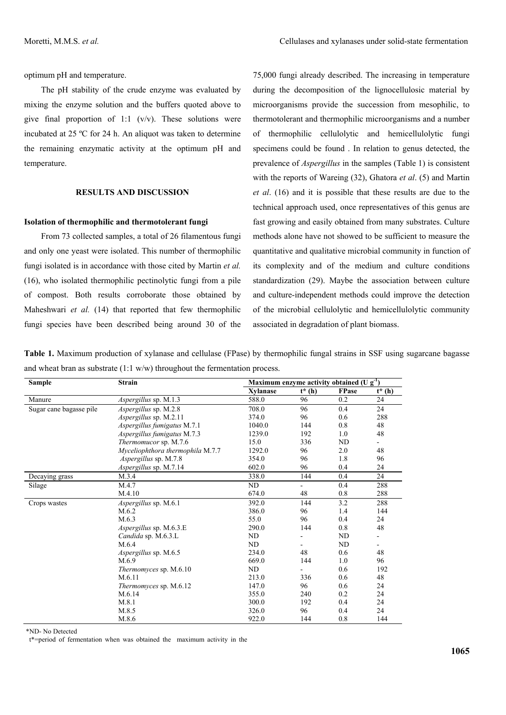optimum pH and temperature.

The pH stability of the crude enzyme was evaluated by mixing the enzyme solution and the buffers quoted above to give final proportion of 1:1  $(v/v)$ . These solutions were incubated at 25 ºC for 24 h. An aliquot was taken to determine the remaining enzymatic activity at the optimum pH and temperature.

## **RESULTS AND DISCUSSION**

### **Isolation of thermophilic and thermotolerant fungi**

From 73 collected samples, a total of 26 filamentous fungi and only one yeast were isolated. This number of thermophilic fungi isolated is in accordance with those cited by Martin *et al.* (16), who isolated thermophilic pectinolytic fungi from a pile of compost. Both results corroborate those obtained by Maheshwari *et al.* (14) that reported that few thermophilic fungi species have been described being around 30 of the 75,000 fungi already described. The increasing in temperature during the decomposition of the lignocellulosic material by microorganisms provide the succession from mesophilic, to thermotolerant and thermophilic microorganisms and a number of thermophilic cellulolytic and hemicellulolytic fungi specimens could be found . In relation to genus detected, the prevalence of *Aspergillus* in the samples (Table 1) is consistent with the reports of Wareing (32), Ghatora *et al*. (5) and Martin *et al*. (16) and it is possible that these results are due to the technical approach used, once representatives of this genus are fast growing and easily obtained from many substrates. Culture methods alone have not showed to be sufficient to measure the quantitative and qualitative microbial community in function of its complexity and of the medium and culture conditions standardization (29). Maybe the association between culture and culture-independent methods could improve the detection of the microbial cellulolytic and hemicellulolytic community associated in degradation of plant biomass.

**Table 1.** Maximum production of xylanase and cellulase (FPase) by thermophilic fungal strains in SSF using sugarcane bagasse and wheat bran as substrate  $(1:1 \text{ w/w})$  throughout the fermentation process.

| <b>Sample</b>           | <b>Strain</b>                    | Maximum enzyme activity obtained (U $g^{-1}$ ) |                |       |                          |
|-------------------------|----------------------------------|------------------------------------------------|----------------|-------|--------------------------|
|                         |                                  | Xvlanase                                       | $t^*(h)$       | FPase | $t^*(h)$                 |
| Manure                  | Aspergillus sp. M.1.3            | 588.0                                          | 96             | 0.2   | 24                       |
| Sugar cane bagasse pile | Aspergillus sp. M.2.8            | 708.0                                          | 96             | 0.4   | 24                       |
|                         | <i>Aspergillus sp. M.2.11</i>    | 374.0                                          | 96             | 0.6   | 288                      |
|                         | Aspergillus fumigatus M.7.1      | 1040.0                                         | 144            | 0.8   | 48                       |
|                         | Aspergillus fumigatus M.7.3      | 1239.0                                         | 192            | 1.0   | 48                       |
|                         | Thermomucor sp. M.7.6            | 15.0                                           | 336            | ND    | $\overline{\phantom{0}}$ |
|                         | Myceliophthora thermophila M.7.7 | 1292.0                                         | 96             | 2.0   | 48                       |
|                         | Aspergillus sp. M.7.8            | 354.0                                          | 96             | 1.8   | 96                       |
|                         | Aspergillus sp. M.7.14           | 602.0                                          | 96             | 0.4   | 24                       |
| Decaying grass          | M.3.4                            | 338.0                                          | 144            | 0.4   | 24                       |
| Silage                  | M.4.7                            | ND                                             | $\blacksquare$ | 0.4   | 288                      |
|                         | M.4.10                           | 674.0                                          | 48             | 0.8   | 288                      |
| Crops wastes            | <i>Aspergillus sp. M.6.1</i>     | 392.0                                          | 144            | 3.2   | 288                      |
|                         | M.6.2                            | 386.0                                          | 96             | 1.4   | 144                      |
|                         | M.6.3                            | 55.0                                           | 96             | 0.4   | 24                       |
|                         | Aspergillus sp. M.6.3.E          | 290.0                                          | 144            | 0.8   | 48                       |
|                         | Candida sp. M.6.3.L              | ND                                             |                | ND    | ٠                        |
|                         | M.6.4                            | ND                                             |                | ND    |                          |
|                         | Aspergillus sp. M.6.5            | 234.0                                          | 48             | 0.6   | 48                       |
|                         | M.6.9                            | 669.0                                          | 144            | 1.0   | 96                       |
|                         | <i>Thermomyces sp. M.6.10</i>    | ND                                             |                | 0.6   | 192                      |
|                         | M.6.11                           | 213.0                                          | 336            | 0.6   | 48                       |
|                         | <i>Thermomyces sp. M.6.12</i>    | 147.0                                          | 96             | 0.6   | 24                       |
|                         | M.6.14                           | 355.0                                          | 240            | 0.2   | 24                       |
|                         | M.8.1                            | 300.0                                          | 192            | 0.4   | 24                       |
|                         | M.8.5                            | 326.0                                          | 96             | 0.4   | 24                       |
|                         | M.8.6                            | 922.0                                          | 144            | 0.8   | 144                      |

\*ND- No Detected

t\*=period of fermentation when was obtained the maximum activity in the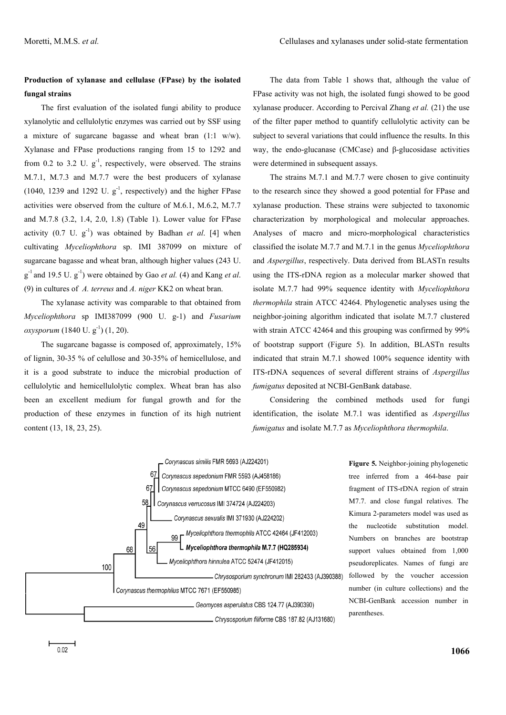# **Production of xylanase and cellulase (FPase) by the isolated fungal strains**

The first evaluation of the isolated fungi ability to produce xylanolytic and cellulolytic enzymes was carried out by SSF using a mixture of sugarcane bagasse and wheat bran (1:1 w/w). Xylanase and FPase productions ranging from 15 to 1292 and from 0.2 to 3.2 U.  $g^{-1}$ , respectively, were observed. The strains M.7.1, M.7.3 and M.7.7 were the best producers of xylanase (1040, 1239 and 1292 U.  $g^{-1}$ , respectively) and the higher FPase activities were observed from the culture of M.6.1, M.6.2, M.7.7 and M.7.8 (3.2, 1.4, 2.0, 1.8) (Table 1). Lower value for FPase activity  $(0.7 \text{ U. } g^{-1})$  was obtained by Badhan *et al.* [4] when cultivating *Myceliophthora* sp. IMI 387099 on mixture of sugarcane bagasse and wheat bran, although higher values (243 U.  $g^{-1}$  and 19.5 U.  $g^{-1}$ ) were obtained by Gao *et al.* (4) and Kang *et al.* (9) in cultures of *A. terreus* and *A. niger* KK2 on wheat bran.

The xylanase activity was comparable to that obtained from *Myceliophthora* sp IMI387099 (900 U. g-1) and *Fusarium oxysporum* (1840 U. g<sup>-1</sup>) (1, 20).

The sugarcane bagasse is composed of, approximately, 15% of lignin, 30-35 % of celullose and 30-35% of hemicellulose, and it is a good substrate to induce the microbial production of cellulolytic and hemicellulolytic complex. Wheat bran has also been an excellent medium for fungal growth and for the production of these enzymes in function of its high nutrient content (13, 18, 23, 25).

The data from Table 1 shows that, although the value of FPase activity was not high, the isolated fungi showed to be good xylanase producer. According to Percival Zhang *et al.* (21) the use of the filter paper method to quantify cellulolytic activity can be subject to several variations that could influence the results. In this way, the endo-glucanase (CMCase) and β-glucosidase activities were determined in subsequent assays.

The strains M.7.1 and M.7.7 were chosen to give continuity to the research since they showed a good potential for FPase and xylanase production. These strains were subjected to taxonomic characterization by morphological and molecular approaches. Analyses of macro and micro-morphological characteristics classified the isolate M.7.7 and M.7.1 in the genus *Myceliophthora* and *Aspergillus*, respectively. Data derived from BLASTn results using the ITS-rDNA region as a molecular marker showed that isolate M.7.7 had 99% sequence identity with *Myceliophthora thermophila* strain ATCC 42464. Phylogenetic analyses using the neighbor-joining algorithm indicated that isolate M.7.7 clustered with strain ATCC 42464 and this grouping was confirmed by 99% of bootstrap support (Figure 5). In addition, BLASTn results indicated that strain M.7.1 showed 100% sequence identity with ITS-rDNA sequences of several different strains of *Aspergillus fumigatus* deposited at NCBI-GenBank database.

Considering the combined methods used for fungi identification, the isolate M.7.1 was identified as *Aspergillus fumigatus* and isolate M.7.7 as *Myceliophthora thermophila*.



**Figure 5.** Neighbor-joining phylogenetic tree inferred from a 464-base pair fragment of ITS-rDNA region of strain M7.7. and close fungal relatives. The Kimura 2-parameters model was used as the nucleotide substitution model. Numbers on branches are bootstrap support values obtained from 1,000 pseudoreplicates. Names of fungi are followed by the voucher accession number (in culture collections) and the NCBI-GenBank accession number in parentheses.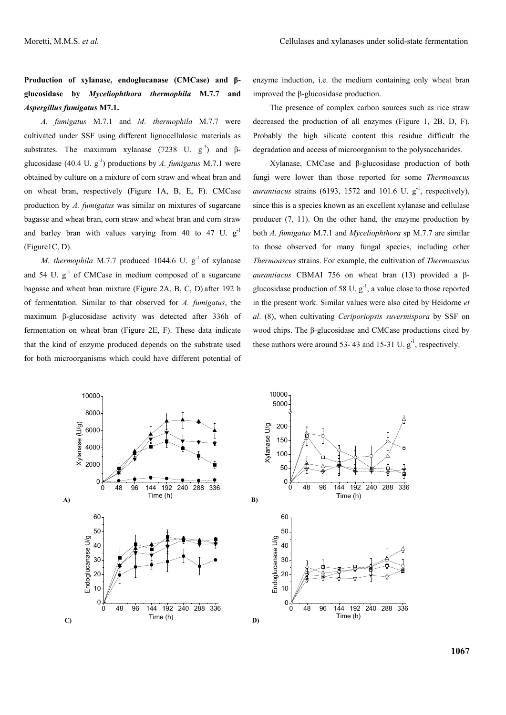**Production of xylanase, endoglucanase (CMCase) and βglucosidase by** *Myceliophthora thermophila* **M.7.7 and**  *Aspergillus fumigatus* **M7.1.** 

*A. fumigatus* M.7.1 and *M. thermophila* M.7.7 were cultivated under SSF using different lignocellulosic materials as substrates. The maximum xylanase (7238 U.  $g^{-1}$ ) and βglucosidase  $(40.4 \text{ U. g}^{-1})$  productions by *A. fumigatus* M.7.1 were obtained by culture on a mixture of corn straw and wheat bran and on wheat bran, respectively (Figure 1A, B, E, F). CMCase production by *A. fumigatus* was similar on mixtures of sugarcane bagasse and wheat bran, corn straw and wheat bran and corn straw and barley bran with values varying from 40 to 47 U. g-1 (Figure1C, D).

*M. thermophila* M.7.7 produced 1044.6 U. g<sup>-1</sup> of xylanase and 54 U.  $g^{-1}$  of CMCase in medium composed of a sugarcane bagasse and wheat bran mixture (Figure 2A, B, C, D) after 192 h of fermentation. Similar to that observed for *A. fumigatus*, the maximum β-glucosidase activity was detected after 336h of fermentation on wheat bran (Figure 2E, F). These data indicate that the kind of enzyme produced depends on the substrate used for both microorganisms which could have different potential of enzyme induction, i.e. the medium containing only wheat bran improved the β-glucosidase production.

The presence of complex carbon sources such as rice straw decreased the production of all enzymes (Figure 1, 2B, D, F). Probably the high silicate content this residue difficult the degradation and access of microorganism to the polysaccharides.

Xylanase, CMCase and β-glucosidase production of both fungi were lower than those reported for some *Thermoascus aurantiacus* strains (6193, 1572 and 101.6 U.  $g^{-1}$ , respectively), since this is a species known as an excellent xylanase and cellulase producer (7, 11). On the other hand, the enzyme production by both *A. fumigatus* M.7.1 and *Myceliophthora* sp M.7.7 are similar to those observed for many fungal species, including other *Thermoascus* strains. For example, the cultivation of *Thermoascus aurantiacus* CBMAI 756 on wheat bran (13) provided a βglucosidase production of 58 U.  $g^{-1}$ , a value close to those reported in the present work. Similar values were also cited by Heidorne *et al*. (8), when cultivating *Ceriporiopsis suvermispora* by SSF on wood chips. The β-glucosidase and CMCase productions cited by these authors were around 53- 43 and 15-31 U.  $g^{-1}$ , respectively.

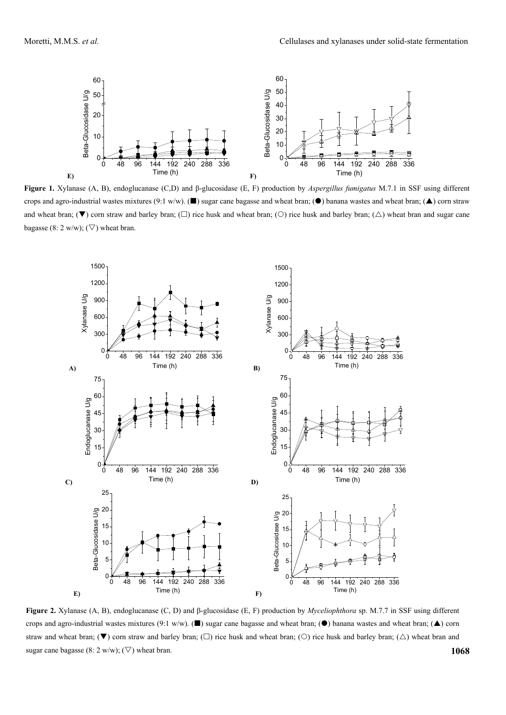

**Figure 1.** Xylanase (A, B), endoglucanase (C,D) and β-glucosidase (E, F) production by *Aspergillus fumigatus* M.7.1 in SSF using different crops and agro-industrial wastes mixtures (9:1 w/w). ( $\blacksquare$ ) sugar cane bagasse and wheat bran; ( $\spadesuit$ ) banana wastes and wheat bran; ( $\spadesuit$ ) corn straw and wheat bran;  $(\nabla)$  corn straw and barley bran;  $(\nabla)$  rice husk and wheat bran;  $(\nabla)$  rice husk and barley bran;  $(\triangle)$  wheat bran and sugar cane bagasse (8: 2 w/w); ( $\nabla$ ) wheat bran.



**1068 Figure 2.** Xylanase (A, B), endoglucanase (C, D) and β-glucosidase (E, F) production by *Myceliophthora* sp. M.7.7 in SSF using different crops and agro-industrial wastes mixtures (9:1 w/w). ( $\blacksquare$ ) sugar cane bagasse and wheat bran; ( $\spadesuit$ ) banana wastes and wheat bran; ( $\spadesuit$ ) corn straw and wheat bran;  $(\blacktriangledown)$  corn straw and barley bran;  $(\square)$  rice husk and wheat bran;  $(\bigcirc)$  rice husk and barley bran;  $(\triangle)$  wheat bran and sugar cane bagasse (8: 2 w/w); ( $\nabla$ ) wheat bran.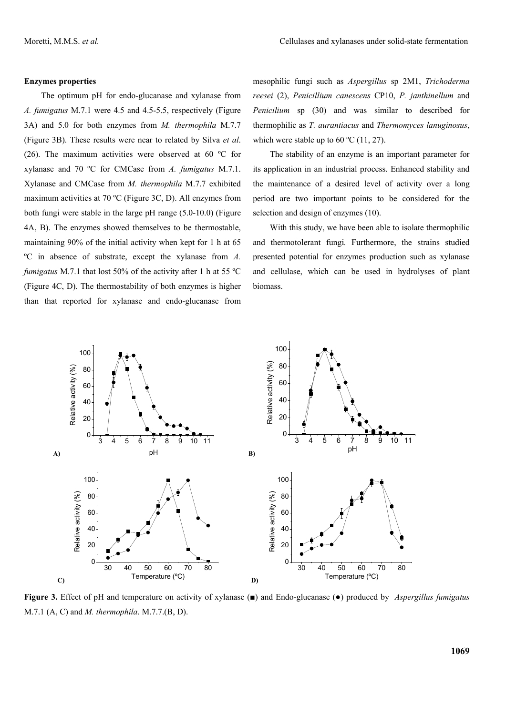#### **Enzymes properties**

The optimum pH for endo-glucanase and xylanase from *A. fumigatus* M.7.1 were 4.5 and 4.5-5.5, respectively (Figure 3A) and 5.0 for both enzymes from *M. thermophila* M.7.7 (Figure 3B). These results were near to related by Silva *et al*. (26). The maximum activities were observed at 60 ºC for xylanase and 70 ºC for CMCase from *A. fumigatus* M.7.1. Xylanase and CMCase from *M. thermophila* M.7.7 exhibited maximum activities at 70 ºC (Figure 3C, D). All enzymes from both fungi were stable in the large pH range (5.0-10.0) (Figure 4A, B). The enzymes showed themselves to be thermostable, maintaining 90% of the initial activity when kept for 1 h at 65 ºC in absence of substrate, except the xylanase from *A. fumigatus* M.7.1 that lost 50% of the activity after 1 h at 55 ºC (Figure 4C, D). The thermostability of both enzymes is higher than that reported for xylanase and endo-glucanase from mesophilic fungi such as *Aspergillus* sp 2M1, *Trichoderma reesei* (2), *Penicillium canescens* CP10, *P. janthinellum* and *Penicilium* sp (30) and was similar to described for thermophilic as *T. aurantiacus* and *Thermomyces lanuginosus*, which were stable up to 60  $\degree$ C (11, 27).

The stability of an enzyme is an important parameter for its application in an industrial process. Enhanced stability and the maintenance of a desired level of activity over a long period are two important points to be considered for the selection and design of enzymes (10).

With this study, we have been able to isolate thermophilic and thermotolerant fungi*.* Furthermore, the strains studied presented potential for enzymes production such as xylanase and cellulase, which can be used in hydrolyses of plant biomass.



**Figure 3.** Effect of pH and temperature on activity of xylanase (■) and Endo-glucanase (●) produced by *Aspergillus fumigatus*  M.7.1 (A, C) and *M. thermophila*. M.7.7.(B, D).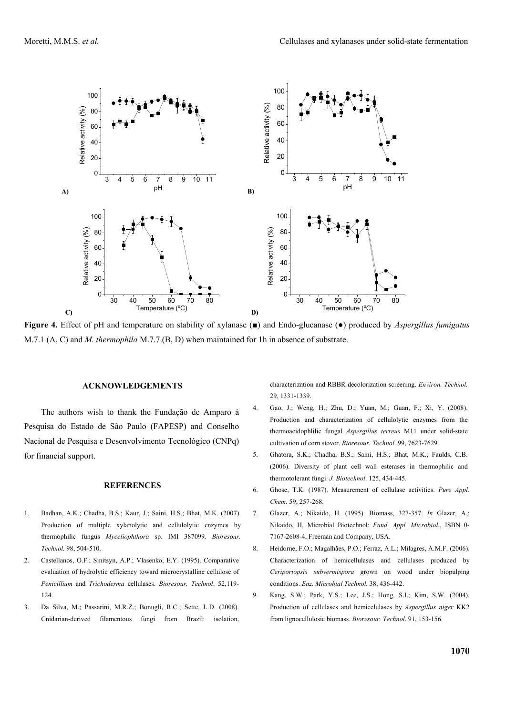

**Figure 4.** Effect of pH and temperature on stability of xylanase (■) and Endo-glucanase (●) produced by *Aspergillus fumigatus*  M.7.1 (A, C) and *M. thermophila* M.7.7.(B, D) when maintained for 1h in absence of substrate.

#### **ACKNOWLEDGEMENTS**

The authors wish to thank the Fundação de Amparo à Pesquisa do Estado de São Paulo (FAPESP) and Conselho Nacional de Pesquisa e Desenvolvimento Tecnológico (CNPq) for financial support.

#### **REFERENCES**

- 1. Badhan, A.K.; Chadha, B.S.; Kaur, J.; Saini, H.S.; Bhat, M.K. (2007). Production of multiple xylanolytic and cellulolytic enzymes by thermophilic fungus *Myceliophthora* sp. IMI 387099*. Bioresour. Technol.* 98, 504-510.
- 2. Castellanos, O.F.; Sinitsyn, A.P.; Vlasenko, E.Y. (1995). Comparative evaluation of hydrolytic efficiency toward microcrystalline cellulose of *Penicillium* and *Trichoderma* cellulases. *Bioresour. Technol*. 52,119- 124.
- 3. Da Silva, M.; Passarini, M.R.Z.; Bonugli, R.C.; Sette, L.D. (2008). Cnidarian-derived filamentous fungi from Brazil: isolation,

characterization and RBBR decolorization screening. *Environ. Technol.*  29, 1331-1339.

- 4. Gao, J.; Weng, H.; Zhu, D.; Yuan, M.; Guan, F.; Xi, Y. (2008). Production and characterization of cellulolytic enzymes from the thermoacidophlilic fungal *Aspergillus terreus* M11 under solid-state cultivation of corn stover. *Bioresour. Technol*. 99, 7623-7629.
- 5. Ghatora, S.K.; Chadha, B.S.; Saini, H.S.; Bhat, M.K.; Faulds, C.B. (2006). Diversity of plant cell wall esterases in thermophilic and thermotolerant fungi. *J. Biotechnol*. 125, 434-445.
- 6. Ghose, T.K. (1987). Measurement of cellulase activities. *Pure Appl. Chem.* 59, 257-268.
- 7. Glazer, A.; Nikaido, H. (1995). Biomass, 327-357. *In* Glazer, A.; Nikaido, H, Microbial Biotechnol: *Fund. Appl. Microbiol.*, ISBN 0- 7167-2608-4, Freeman and Company, USA.
- 8. Heidorne, F.O.; Magalhães, P.O.; Ferraz, A.L.; Milagres, A.M.F. (2006). Characterization of hemicellulases and cellulases produced by *Ceriporiopsis subvermispora* grown on wood under biopulping conditions. *Enz. Microbial Technol.* 38, 436-442.
- 9. Kang, S.W.; Park, Y.S.; Lee, J.S.; Hong, S.I.; Kim, S.W. (2004). Production of cellulases and hemicelulases by *Aspergillus niger* KK2 from lignocellulosic biomass. *Bioresour. Technol*. 91, 153-156.